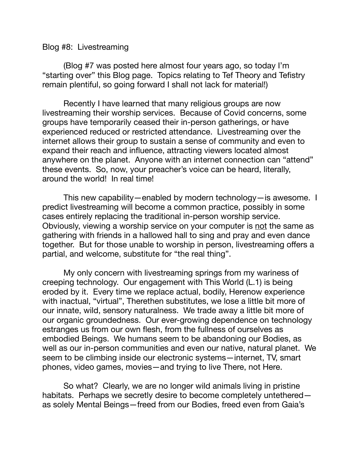## Blog #8: Livestreaming

(Blog #7 was posted here almost four years ago, so today I'm "starting over" this Blog page. Topics relating to Tef Theory and Tefistry remain plentiful, so going forward I shall not lack for material!)

Recently I have learned that many religious groups are now livestreaming their worship services. Because of Covid concerns, some groups have temporarily ceased their in-person gatherings, or have experienced reduced or restricted attendance. Livestreaming over the internet allows their group to sustain a sense of community and even to expand their reach and influence, attracting viewers located almost anywhere on the planet. Anyone with an internet connection can "attend" these events. So, now, your preacher's voice can be heard, literally, around the world! In real time!

This new capability—enabled by modern technology—is awesome. I predict livestreaming will become a common practice, possibly in some cases entirely replacing the traditional in-person worship service. Obviously, viewing a worship service on your computer is not the same as gathering with friends in a hallowed hall to sing and pray and even dance together. But for those unable to worship in person, livestreaming offers a partial, and welcome, substitute for "the real thing".

My only concern with livestreaming springs from my wariness of creeping technology. Our engagement with This World (L.1) is being eroded by it. Every time we replace actual, bodily, Herenow experience with inactual, "virtual", Therethen substitutes, we lose a little bit more of our innate, wild, sensory naturalness. We trade away a little bit more of our organic groundedness. Our ever-growing dependence on technology estranges us from our own flesh, from the fullness of ourselves as embodied Beings. We humans seem to be abandoning our Bodies, as well as our in-person communities and even our native, natural planet. We seem to be climbing inside our electronic systems—internet, TV, smart phones, video games, movies—and trying to live There, not Here.

So what? Clearly, we are no longer wild animals living in pristine habitats. Perhaps we secretly desire to become completely untethered as solely Mental Beings—freed from our Bodies, freed even from Gaia's